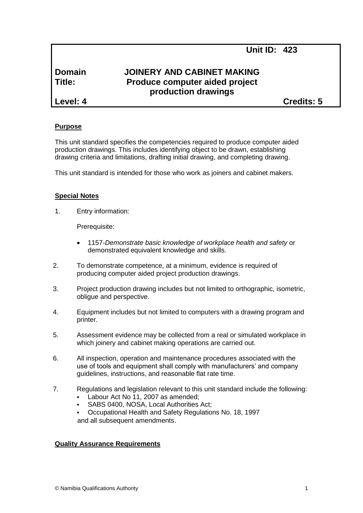# **Domain JOINERY AND CABINET MAKING Title: Produce computer aided project production drawings**

**Level: 4 Credits: 5**

## **Purpose**

This unit standard specifies the competencies required to produce computer aided production drawings. This includes identifying object to be drawn, establishing drawing criteria and limitations, drafting initial drawing, and completing drawing.

This unit standard is intended for those who work as joiners and cabinet makers.

#### **Special Notes**

1. Entry information:

Prerequisite:

- 1157*-Demonstrate basic knowledge of workplace health and safety* or demonstrated equivalent knowledge and skills.
- 2. To demonstrate competence, at a minimum, evidence is required of producing computer aided project production drawings.
- 3. Project production drawing includes but not limited to orthographic, isometric, obligue and perspective.
- 4. Equipment includes but not limited to computers with a drawing program and printer.
- 5. Assessment evidence may be collected from a real or simulated workplace in which joinery and cabinet making operations are carried out.
- 6. All inspection, operation and maintenance procedures associated with the use of tools and equipment shall comply with manufacturers' and company guidelines, instructions, and reasonable flat rate time.
- 7. Regulations and legislation relevant to this unit standard include the following:
	- Labour Act No 11, 2007 as amended;
	- SABS 0400, NOSA, Local Authorities Act;
	- Occupational Health and Safety Regulations No. 18, 1997 and all subsequent amendments.

#### **Quality Assurance Requirements**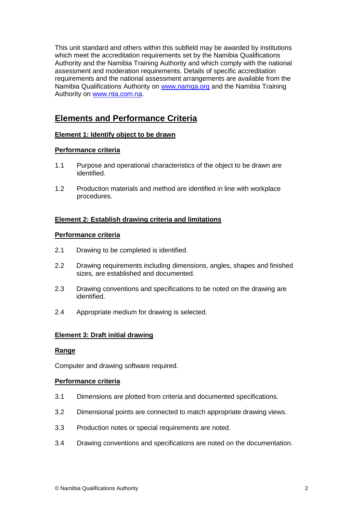This unit standard and others within this subfield may be awarded by institutions which meet the accreditation requirements set by the Namibia Qualifications Authority and the Namibia Training Authority and which comply with the national assessment and moderation requirements. Details of specific accreditation requirements and the national assessment arrangements are available from the Namibia Qualifications Authority on [www.namqa.org](http://www.namqa.org/) and the Namibia Training Authority on [www.nta.com.na.](http://www.nta.com.na/)

# **Elements and Performance Criteria**

## **Element 1: Identify object to be drawn**

## **Performance criteria**

- 1.1 Purpose and operational characteristics of the object to be drawn are identified.
- 1.2 Production materials and method are identified in line with workplace procedures.

## **Element 2: Establish drawing criteria and limitations**

## **Performance criteria**

- 2.1 Drawing to be completed is identified.
- 2.2 Drawing requirements including dimensions, angles, shapes and finished sizes, are established and documented.
- 2.3 Drawing conventions and specifications to be noted on the drawing are identified.
- 2.4 Appropriate medium for drawing is selected.

## **Element 3: Draft initial drawing**

## **Range**

Computer and drawing software required.

## **Performance criteria**

- 3.1 Dimensions are plotted from criteria and documented specifications.
- 3.2 Dimensional points are connected to match appropriate drawing views.
- 3.3 Production notes or special requirements are noted.
- 3.4 Drawing conventions and specifications are noted on the documentation.